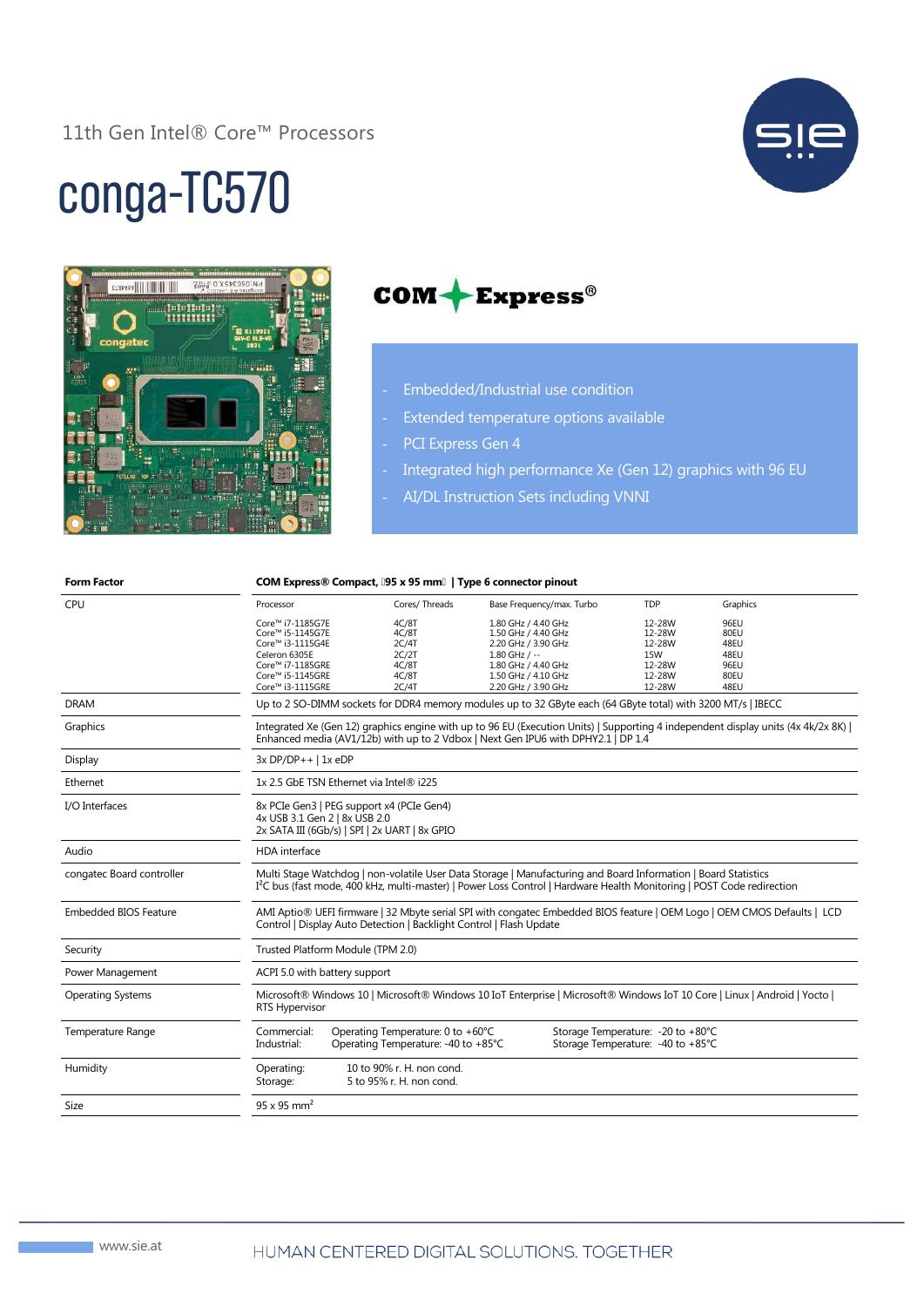#### 11th Gen Intel® Core™ Processors



# conga-TC570





- Embedded/Industrial use condition
- Extended temperature options available
- PCI Express Gen 4
- Integrated high performance Xe (Gen 12) graphics with 96 EU
- AI/DL Instruction Sets including VNNI

| <b>Form Factor</b>           | COM Express® Compact, [95 x 95 mm]   Type 6 connector pinout                                                                                                                                                                                        |                                                                          |                                                                   |                                                                         |                      |
|------------------------------|-----------------------------------------------------------------------------------------------------------------------------------------------------------------------------------------------------------------------------------------------------|--------------------------------------------------------------------------|-------------------------------------------------------------------|-------------------------------------------------------------------------|----------------------|
| CPU                          | Processor                                                                                                                                                                                                                                           | Cores/Threads                                                            | Base Frequency/max. Turbo                                         | <b>TDP</b>                                                              | Graphics             |
|                              | Core™ i7-1185G7E<br>Core™ i5-1145G7E<br>Core™ i3-1115G4E                                                                                                                                                                                            | 4C/8T<br>4C/8T<br>2C/4T                                                  | 1.80 GHz / 4.40 GHz<br>1.50 GHz / 4.40 GHz<br>2.20 GHz / 3.90 GHz | 12-28W<br>12-28W<br>12-28W                                              | 96EU<br>80EU<br>48EU |
|                              | Celeron 6305E<br>Core™ i7-1185GRE                                                                                                                                                                                                                   | 2C/2T<br>4C/8T                                                           | $1.80$ GHz / $-$<br>1.80 GHz / 4.40 GHz                           | <b>15W</b><br>12-28W                                                    | 48EU<br>96EU         |
|                              | Core™ i5-1145GRE                                                                                                                                                                                                                                    | 4C/8T                                                                    | 1.50 GHz / 4.10 GHz                                               | 12-28W                                                                  | 80EU                 |
|                              | Core™ i3-1115GRE                                                                                                                                                                                                                                    | 2C/4T                                                                    | 2.20 GHz / 3.90 GHz                                               | 12-28W                                                                  | 48EU                 |
| <b>DRAM</b>                  | Up to 2 SO-DIMM sockets for DDR4 memory modules up to 32 GByte each (64 GByte total) with 3200 MT/s   IBECC                                                                                                                                         |                                                                          |                                                                   |                                                                         |                      |
| Graphics                     | Integrated Xe (Gen 12) graphics engine with up to 96 EU (Execution Units)   Supporting 4 independent display units (4x 4k/2x 8K)  <br>Enhanced media (AV1/12b) with up to 2 Vdbox   Next Gen IPU6 with DPHY2.1   DP 1.4                             |                                                                          |                                                                   |                                                                         |                      |
| Display                      | $3x DP/DP++$   1x eDP                                                                                                                                                                                                                               |                                                                          |                                                                   |                                                                         |                      |
| Ethernet                     | 1x 2.5 GbE TSN Ethernet via Intel® i225                                                                                                                                                                                                             |                                                                          |                                                                   |                                                                         |                      |
| I/O Interfaces               | 8x PCIe Gen3   PEG support x4 (PCIe Gen4)<br>4x USB 3.1 Gen 2   8x USB 2.0<br>2x SATA III (6Gb/s)   SPI   2x UART   8x GPIO                                                                                                                         |                                                                          |                                                                   |                                                                         |                      |
| Audio                        | <b>HDA</b> interface                                                                                                                                                                                                                                |                                                                          |                                                                   |                                                                         |                      |
| congatec Board controller    | Multi Stage Watchdog   non-volatile User Data Storage   Manufacturing and Board Information   Board Statistics<br>I <sup>2</sup> C bus (fast mode, 400 kHz, multi-master)   Power Loss Control   Hardware Health Monitoring   POST Code redirection |                                                                          |                                                                   |                                                                         |                      |
| <b>Embedded BIOS Feature</b> | AMI Aptio® UEFI firmware   32 Mbyte serial SPI with congatec Embedded BIOS feature   OEM Logo   OEM CMOS Defaults   LCD<br>Control   Display Auto Detection   Backlight Control   Flash Update                                                      |                                                                          |                                                                   |                                                                         |                      |
| Security                     | Trusted Platform Module (TPM 2.0)                                                                                                                                                                                                                   |                                                                          |                                                                   |                                                                         |                      |
| Power Management             | ACPI 5.0 with battery support                                                                                                                                                                                                                       |                                                                          |                                                                   |                                                                         |                      |
| <b>Operating Systems</b>     | Microsoft® Windows 10   Microsoft® Windows 10 IoT Enterprise   Microsoft® Windows IoT 10 Core   Linux   Android   Yocto  <br>RTS Hypervisor                                                                                                         |                                                                          |                                                                   |                                                                         |                      |
| Temperature Range            | Commercial:<br>Industrial:                                                                                                                                                                                                                          | Operating Temperature: 0 to +60°C<br>Operating Temperature: -40 to +85°C |                                                                   | Storage Temperature: - 20 to +80°C<br>Storage Temperature: -40 to +85°C |                      |
| Humidity                     | Operating:<br>Storage:                                                                                                                                                                                                                              | 10 to 90% r. H. non cond.<br>5 to 95% r. H. non cond.                    |                                                                   |                                                                         |                      |
| Size                         | $95 \times 95$ mm <sup>2</sup>                                                                                                                                                                                                                      |                                                                          |                                                                   |                                                                         |                      |
|                              |                                                                                                                                                                                                                                                     |                                                                          |                                                                   |                                                                         |                      |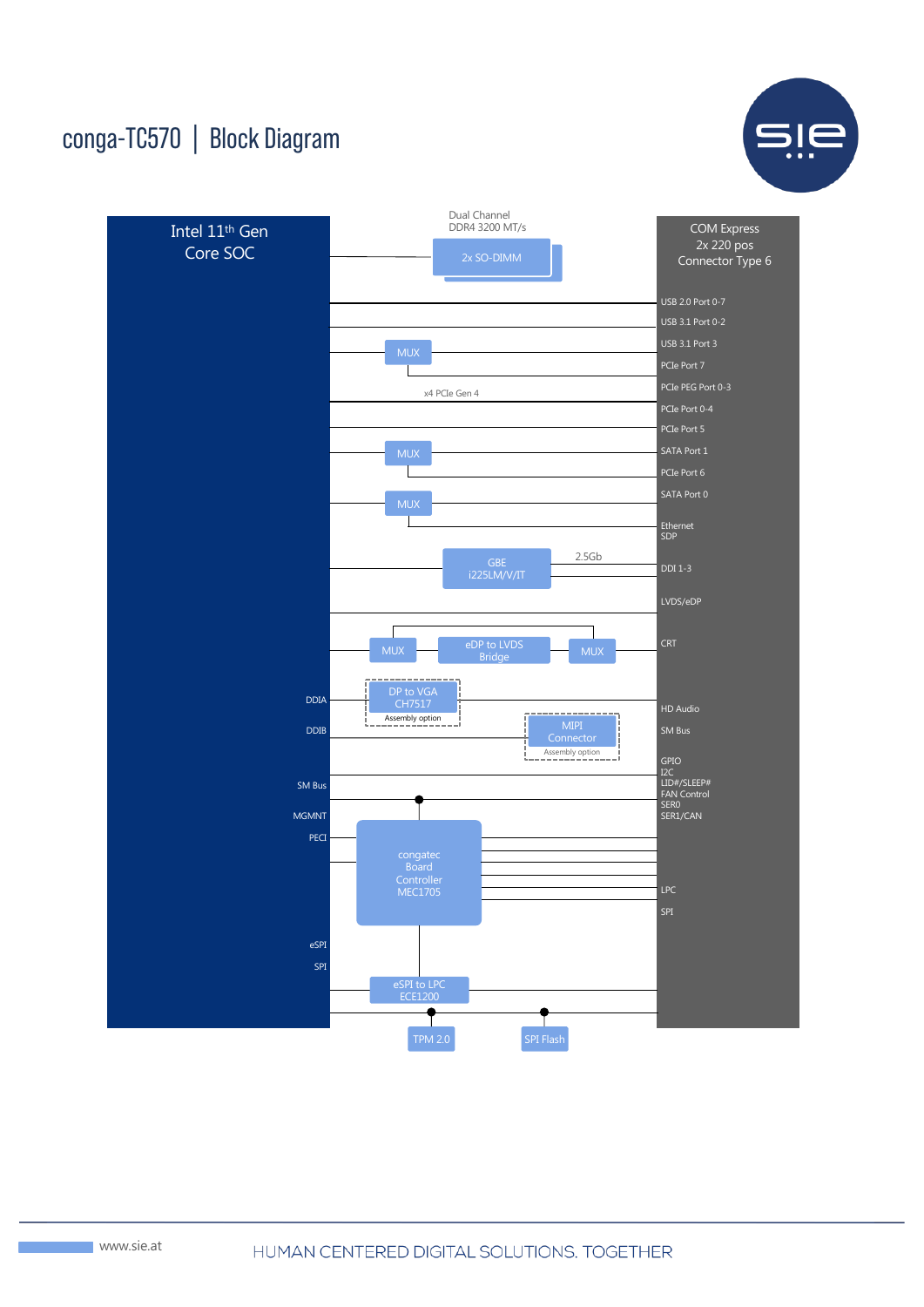## conga-TC570 | Block Diagram